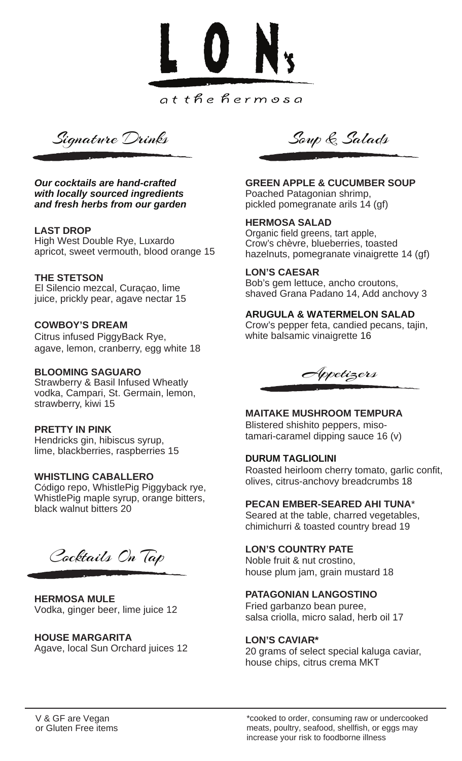

Signature Drinks Soup & Salads

*Our cocktails are hand-crafted with locally sourced ingredients and fresh herbs from our garden*

### **LAST DROP**

High West Double Rye, Luxardo apricot, sweet vermouth, blood orange 15

### **THE STETSON**

El Silencio mezcal, Curaçao, lime juice, prickly pear, agave nectar 15

## **COWBOY'S DREAM**

Citrus infused PiggyBack Rye, agave, lemon, cranberry, egg white 18

### **BLOOMING SAGUARO**

Strawberry & Basil Infused Wheatly vodka, Campari, St. Germain, lemon, strawberry, kiwi 15

### **PRETTY IN PINK**

Hendricks gin, hibiscus syrup, lime, blackberries, raspberries 15

### **WHISTLING CABALLERO**

Código repo, WhistlePig Piggyback rye, WhistlePig maple syrup, orange bitters, black walnut bitters 20

Cocktails On Tap

**HERMOSA MULE** Vodka, ginger beer, lime juice 12

# **HOUSE MARGARITA**

Agave, local Sun Orchard juices 12

**GREEN APPLE & CUCUMBER SOUP** Poached Patagonian shrimp, pickled pomegranate arils 14 (gf)

### **HERMOSA SALAD**

Organic field greens, tart apple, Crow's chèvre, blueberries, toasted hazelnuts, pomegranate vinaigrette 14 (gf)

### **LON'S CAESAR**

Bob's gem lettuce, ancho croutons, shaved Grana Padano 14, Add anchovy 3

### **ARUGULA & WATERMELON SALAD**

Crow's pepper feta, candied pecans, tajin, white balsamic vinaigrette 16

Appetizers

# **MAITAKE MUSHROOM TEMPURA**

Blistered shishito peppers, misotamari-caramel dipping sauce 16 (v)

### **DURUM TAGLIOLINI**

Roasted heirloom cherry tomato, garlic confit, olives, citrus-anchovy breadcrumbs 18

### **PECAN EMBER-SEARED AHI TUNA**\*

Seared at the table, charred vegetables, chimichurri & toasted country bread 19

# **LON'S COUNTRY PATE**

Noble fruit & nut crostino, house plum jam, grain mustard 18

### **PATAGONIAN LANGOSTINO**

Fried garbanzo bean puree, salsa criolla, micro salad, herb oil 17

### **LON'S CAVIAR\***

20 grams of select special kaluga caviar, house chips, citrus crema MKT